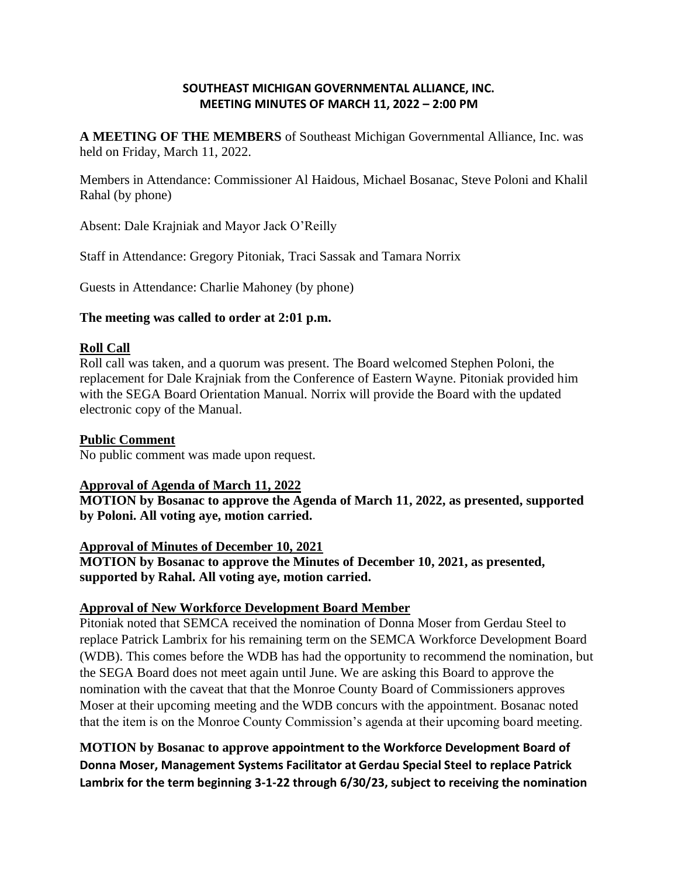### **SOUTHEAST MICHIGAN GOVERNMENTAL ALLIANCE, INC. MEETING MINUTES OF MARCH 11, 2022 – 2:00 PM**

**A MEETING OF THE MEMBERS** of Southeast Michigan Governmental Alliance, Inc. was held on Friday, March 11, 2022.

Members in Attendance: Commissioner Al Haidous, Michael Bosanac, Steve Poloni and Khalil Rahal (by phone)

Absent: Dale Krajniak and Mayor Jack O'Reilly

Staff in Attendance: Gregory Pitoniak, Traci Sassak and Tamara Norrix

Guests in Attendance: Charlie Mahoney (by phone)

#### **The meeting was called to order at 2:01 p.m.**

#### **Roll Call**

Roll call was taken, and a quorum was present. The Board welcomed Stephen Poloni, the replacement for Dale Krajniak from the Conference of Eastern Wayne. Pitoniak provided him with the SEGA Board Orientation Manual. Norrix will provide the Board with the updated electronic copy of the Manual.

#### **Public Comment**

No public comment was made upon request.

#### **Approval of Agenda of March 11, 2022**

**MOTION by Bosanac to approve the Agenda of March 11, 2022, as presented, supported by Poloni. All voting aye, motion carried.**

#### **Approval of Minutes of December 10, 2021**

**MOTION by Bosanac to approve the Minutes of December 10, 2021, as presented, supported by Rahal. All voting aye, motion carried.**

### **Approval of New Workforce Development Board Member**

Pitoniak noted that SEMCA received the nomination of Donna Moser from Gerdau Steel to replace Patrick Lambrix for his remaining term on the SEMCA Workforce Development Board (WDB). This comes before the WDB has had the opportunity to recommend the nomination, but the SEGA Board does not meet again until June. We are asking this Board to approve the nomination with the caveat that that the Monroe County Board of Commissioners approves Moser at their upcoming meeting and the WDB concurs with the appointment. Bosanac noted that the item is on the Monroe County Commission's agenda at their upcoming board meeting.

**MOTION by Bosanac to approve appointment to the Workforce Development Board of Donna Moser, Management Systems Facilitator at Gerdau Special Steel to replace Patrick Lambrix for the term beginning 3-1-22 through 6/30/23, subject to receiving the nomination**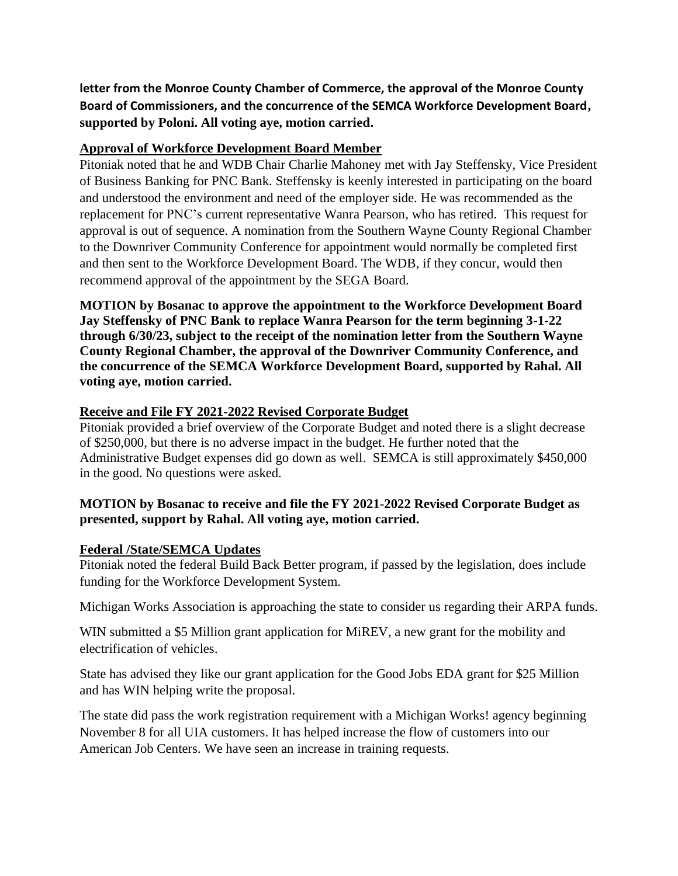**letter from the Monroe County Chamber of Commerce, the approval of the Monroe County Board of Commissioners, and the concurrence of the SEMCA Workforce Development Board, supported by Poloni. All voting aye, motion carried.**

## **Approval of Workforce Development Board Member**

Pitoniak noted that he and WDB Chair Charlie Mahoney met with Jay Steffensky, Vice President of Business Banking for PNC Bank. Steffensky is keenly interested in participating on the board and understood the environment and need of the employer side. He was recommended as the replacement for PNC's current representative Wanra Pearson, who has retired. This request for approval is out of sequence. A nomination from the Southern Wayne County Regional Chamber to the Downriver Community Conference for appointment would normally be completed first and then sent to the Workforce Development Board. The WDB, if they concur, would then recommend approval of the appointment by the SEGA Board.

**MOTION by Bosanac to approve the appointment to the Workforce Development Board Jay Steffensky of PNC Bank to replace Wanra Pearson for the term beginning 3-1-22 through 6/30/23, subject to the receipt of the nomination letter from the Southern Wayne County Regional Chamber, the approval of the Downriver Community Conference, and the concurrence of the SEMCA Workforce Development Board, supported by Rahal. All voting aye, motion carried.**

# **Receive and File FY 2021-2022 Revised Corporate Budget**

Pitoniak provided a brief overview of the Corporate Budget and noted there is a slight decrease of \$250,000, but there is no adverse impact in the budget. He further noted that the Administrative Budget expenses did go down as well. SEMCA is still approximately \$450,000 in the good. No questions were asked.

# **MOTION by Bosanac to receive and file the FY 2021-2022 Revised Corporate Budget as presented, support by Rahal. All voting aye, motion carried.**

### **Federal /State/SEMCA Updates**

Pitoniak noted the federal Build Back Better program, if passed by the legislation, does include funding for the Workforce Development System.

Michigan Works Association is approaching the state to consider us regarding their ARPA funds.

WIN submitted a \$5 Million grant application for MiREV, a new grant for the mobility and electrification of vehicles.

State has advised they like our grant application for the Good Jobs EDA grant for \$25 Million and has WIN helping write the proposal.

The state did pass the work registration requirement with a Michigan Works! agency beginning November 8 for all UIA customers. It has helped increase the flow of customers into our American Job Centers. We have seen an increase in training requests.